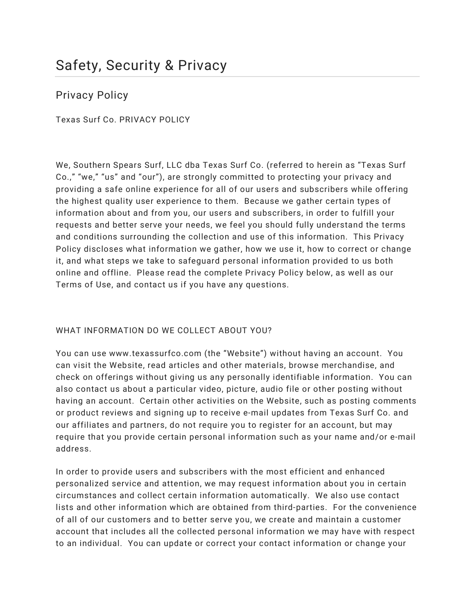Privacy Policy

Texas Surf Co. PRIVACY POLICY

We, Southern Spears Surf, LLC dba Texas Surf Co. (referred to herein as "Texas Surf Co.," "we," "us" and "our"), are strongly committed to protecting your privacy and providing a safe online experience for all of our users and subscribers while offering the highest quality user experience to them. Because we gather certain types of information about and from you, our users and subscribers, in order to fulfill your requests and better serve your needs, we feel you should fully understand the terms and conditions surrounding the collection and use of this information. This Privacy Policy discloses what information we gather, how we use it, how to correct or change it, and what steps we take to safeguard personal information provided to us both online and offline. Please read the complete Privacy Policy below, as well as our Terms of Use, and contact us if you have any questions.

# WHAT INFORMATION DO WE COLLECT ABOUT YOU?

You can use www.texassurfco.com (the "Website") without having an account. You can visit the Website, read articles and other materials, browse merchandise, and check on offerings without giving us any personally identifiable information. You can also contact us about a particular video, picture, audio file or other posting without having an account. Certain other activities on the Website, such as posting comments or product reviews and signing up to receive e-mail updates from Texas Surf Co. and our affiliates and partners, do not require you to register for an account, but may require that you provide certain personal information such as your name and/or e-mail address.

In order to provide users and subscribers with the most efficient and enhanced personalized service and attention, we may request information about you in certain circumstances and collect certain information automatically. We also use contact lists and other information which are obtained from third-parties. For the convenience of all of our customers and to better serve you, we create and maintain a customer account that includes all the collected personal information we may have with respect to an individual. You can update or correct your contact information or change your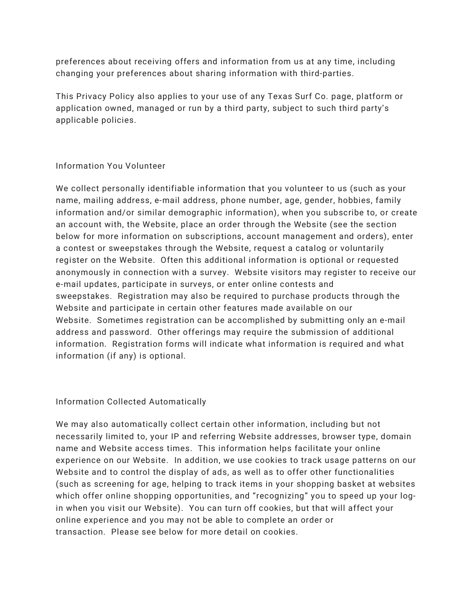preferences about receiving offers and information from us at any time, including changing your preferences about sharing information with third-parties.

This Privacy Policy also applies to your use of any Texas Surf Co. page, platform or application owned, managed or run by a third party, subject to such third party's applicable policies.

## Information You Volunteer

We collect personally identifiable information that you volunteer to us (such as your name, mailing address, e-mail address, phone number, age, gender, hobbies, family information and/or similar demographic information), when you subscribe to, or create an account with, the Website, place an order through the Website (see the section below for more information on subscriptions, account management and orders), enter a contest or sweepstakes through the Website, request a catalog or voluntarily register on the Website. Often this additional information is optional or requested anonymously in connection with a survey. Website visitors may register to receive our e-mail updates, participate in surveys, or enter online contests and sweepstakes. Registration may also be required to purchase products through the Website and participate in certain other features made available on our Website. Sometimes registration can be accomplished by submitting only an e-mail address and password. Other offerings may require the submission of additional information. Registration forms will indicate what information is required and what information (if any) is optional.

#### Information Collected Automatically

We may also automatically collect certain other information, including but not necessarily limited to, your IP and referring Website addresses, browser type, domain name and Website access times. This information helps facilitate your online experience on our Website. In addition, we use cookies to track usage patterns on our Website and to control the display of ads, as well as to offer other functionalities (such as screening for age, helping to track items in your shopping basket at websites which offer online shopping opportunities, and "recognizing" you to speed up your login when you visit our Website). You can turn off cookies, but that will affect your online experience and you may not be able to complete an order or transaction. Please see below for more detail on cookies.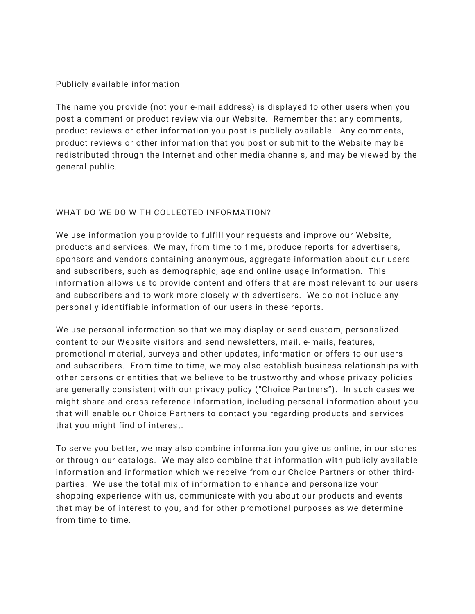## Publicly available information

The name you provide (not your e-mail address) is displayed to other users when you post a comment or product review via our Website. Remember that any comments, product reviews or other information you post is publicly available. Any comments, product reviews or other information that you post or submit to the Website may be redistributed through the Internet and other media channels, and may be viewed by the general public.

# WHAT DO WE DO WITH COLLECTED INFORMATION?

We use information you provide to fulfill your requests and improve our Website, products and services. We may, from time to time, produce reports for advertisers, sponsors and vendors containing anonymous, aggregate information about our users and subscribers, such as demographic, age and online usage information. This information allows us to provide content and offers that are most relevant to our users and subscribers and to work more closely with advertisers. We do not include any personally identifiable information of our users in these reports.

We use personal information so that we may display or send custom, personalized content to our Website visitors and send newsletters, mail, e-mails, features, promotional material, surveys and other updates, information or offers to our users and subscribers. From time to time, we may also establish business relationships with other persons or entities that we believe to be trustworthy and whose privacy policies are generally consistent with our privacy policy ("Choice Partners"). In such cases we might share and cross-reference information, including personal information about you that will enable our Choice Partners to contact you regarding products and services that you might find of interest.

To serve you better, we may also combine information you give us online, in our stores or through our catalogs. We may also combine that information with publicly available information and information which we receive from our Choice Partners or other thirdparties. We use the total mix of information to enhance and personalize your shopping experience with us, communicate with you about our products and events that may be of interest to you, and for other promotional purposes as we determine from time to time.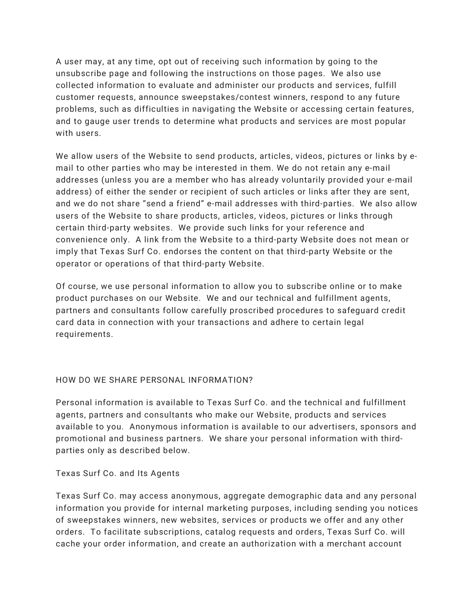A user may, at any time, opt out of receiving such information by going to the unsubscribe page and following the instructions on those pages. We also use collected information to evaluate and administer our products and services, fulfill customer requests, announce sweepstakes/contest winners, respond to any future problems, such as difficulties in navigating the Website or accessing certain features, and to gauge user trends to determine what products and services are most popular with users.

We allow users of the Website to send products, articles, videos, pictures or links by email to other parties who may be interested in them. We do not retain any e-mail addresses (unless you are a member who has already voluntarily provided your e-mail address) of either the sender or recipient of such articles or links after they are sent, and we do not share "send a friend" e-mail addresses with third-parties. We also allow users of the Website to share products, articles, videos, pictures or links through certain third-party websites. We provide such links for your reference and convenience only. A link from the Website to a third-party Website does not mean or imply that Texas Surf Co. endorses the content on that third-party Website or the operator or operations of that third-party Website.

Of course, we use personal information to allow you to subscribe online or to make product purchases on our Website. We and our technical and fulfillment agents, partners and consultants follow carefully proscribed procedures to safeguard credit card data in connection with your transactions and adhere to certain legal requirements.

# HOW DO WE SHARE PERSONAL INFORMATION?

Personal information is available to Texas Surf Co. and the technical and fulfillment agents, partners and consultants who make our Website, products and services available to you. Anonymous information is available to our advertisers, sponsors and promotional and business partners. We share your personal information with thirdparties only as described below.

#### Texas Surf Co. and Its Agents

Texas Surf Co. may access anonymous, aggregate demographic data and any personal information you provide for internal marketing purposes, including sending you notices of sweepstakes winners, new websites, services or products we offer and any other orders. To facilitate subscriptions, catalog requests and orders, Texas Surf Co. will cache your order information, and create an authorization with a merchant account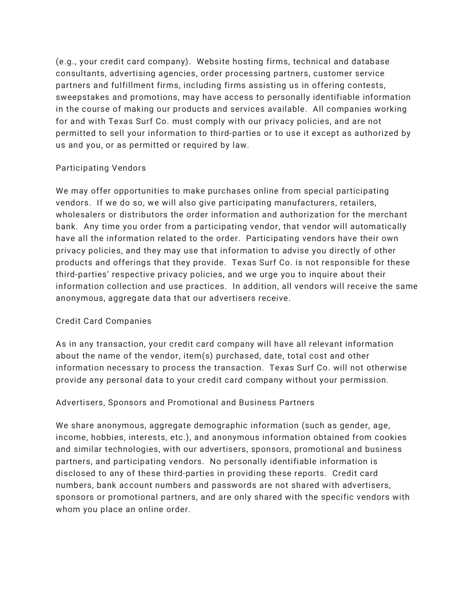(e.g., your credit card company). Website hosting firms, technical and database consultants, advertising agencies, order processing partners, customer service partners and fulfillment firms, including firms assisting us in offering contests, sweepstakes and promotions, may have access to personally identifiable information in the course of making our products and services available. All companies working for and with Texas Surf Co. must comply with our privacy policies, and are not permitted to sell your information to third-parties or to use it except as authorized by us and you, or as permitted or required by law.

## Participating Vendors

We may offer opportunities to make purchases online from special participating vendors. If we do so, we will also give participating manufacturers, retailers, wholesalers or distributors the order information and authorization for the merchant bank. Any time you order from a participating vendor, that vendor will automatically have all the information related to the order. Participating vendors have their own privacy policies, and they may use that information to advise you directly of other products and offerings that they provide. Texas Surf Co. is not responsible for these third-parties' respective privacy policies, and we urge you to inquire about their information collection and use practices. In addition, all vendors will receive the same anonymous, aggregate data that our advertisers receive.

#### Credit Card Companies

As in any transaction, your credit card company will have all relevant information about the name of the vendor, item(s) purchased, date, total cost and other information necessary to process the transaction. Texas Surf Co. will not otherwise provide any personal data to your credit card company without your permission.

# Advertisers, Sponsors and Promotional and Business Partners

We share anonymous, aggregate demographic information (such as gender, age, income, hobbies, interests, etc.), and anonymous information obtained from cookies and similar technologies, with our advertisers, sponsors, promotional and business partners, and participating vendors. No personally identifiable information is disclosed to any of these third-parties in providing these reports. Credit card numbers, bank account numbers and passwords are not shared with advertisers, sponsors or promotional partners, and are only shared with the specific vendors with whom you place an online order.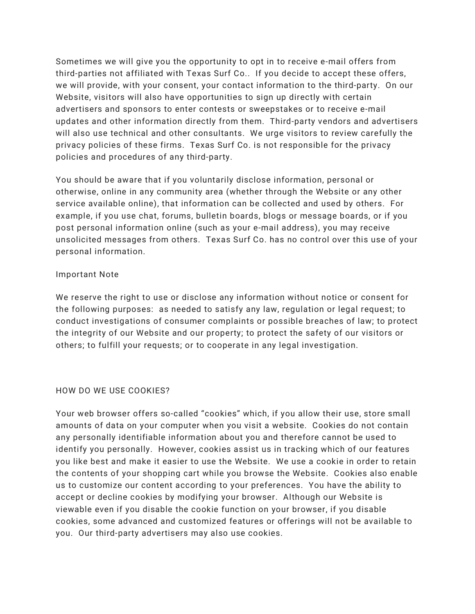Sometimes we will give you the opportunity to opt in to receive e-mail offers from third-parties not affiliated with Texas Surf Co.. If you decide to accept these offers, we will provide, with your consent, your contact information to the third-party. On our Website, visitors will also have opportunities to sign up directly with certain advertisers and sponsors to enter contests or sweepstakes or to receive e-mail updates and other information directly from them. Third-party vendors and advertisers will also use technical and other consultants. We urge visitors to review carefully the privacy policies of these firms. Texas Surf Co. is not responsible for the privacy policies and procedures of any third-party.

You should be aware that if you voluntarily disclose information, personal or otherwise, online in any community area (whether through the Website or any other service available online), that information can be collected and used by others. For example, if you use chat, forums, bulletin boards, blogs or message boards, or if you post personal information online (such as your e-mail address), you may receive unsolicited messages from others. Texas Surf Co. has no control over this use of your personal information.

#### Important Note

We reserve the right to use or disclose any information without notice or consent for the following purposes: as needed to satisfy any law, regulation or legal request; to conduct investigations of consumer complaints or possible breaches of law; to protect the integrity of our Website and our property; to protect the safety of our visitors or others; to fulfill your requests; or to cooperate in any legal investigation.

# HOW DO WE USE COOKIES?

Your web browser offers so-called "cookies" which, if you allow their use, store small amounts of data on your computer when you visit a website. Cookies do not contain any personally identifiable information about you and therefore cannot be used to identify you personally. However, cookies assist us in tracking which of our features you like best and make it easier to use the Website. We use a cookie in order to retain the contents of your shopping cart while you browse the Website. Cookies also enable us to customize our content according to your preferences. You have the ability to accept or decline cookies by modifying your browser. Although our Website is viewable even if you disable the cookie function on your browser, if you disable cookies, some advanced and customized features or offerings will not be available to you. Our third-party advertisers may also use cookies.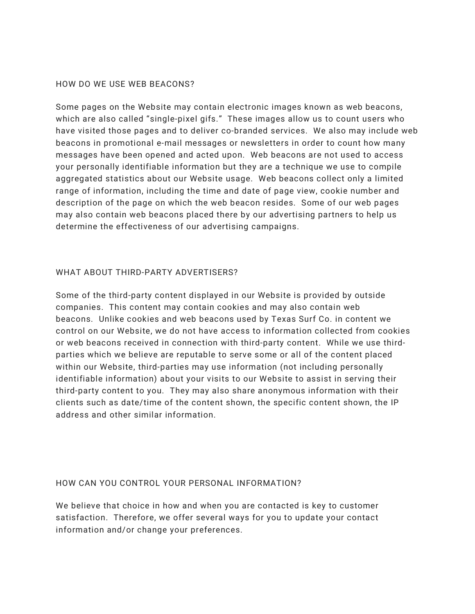#### HOW DO WE USE WEB BEACONS?

Some pages on the Website may contain electronic images known as web beacons, which are also called "single-pixel gifs." These images allow us to count users who have visited those pages and to deliver co-branded services. We also may include web beacons in promotional e-mail messages or newsletters in order to count how many messages have been opened and acted upon. Web beacons are not used to access your personally identifiable information but they are a technique we use to compile aggregated statistics about our Website usage. Web beacons collect only a limited range of information, including the time and date of page view, cookie number and description of the page on which the web beacon resides. Some of our web pages may also contain web beacons placed there by our advertising partners to help us determine the effectiveness of our advertising campaigns.

#### WHAT ABOUT THIRD-PARTY ADVERTISERS?

Some of the third-party content displayed in our Website is provided by outside companies. This content may contain cookies and may also contain web beacons. Unlike cookies and web beacons used by Texas Surf Co. in content we control on our Website, we do not have access to information collected from cookies or web beacons received in connection with third-party content. While we use thirdparties which we believe are reputable to serve some or all of the content placed within our Website, third-parties may use information (not including personally identifiable information) about your visits to our Website to assist in serving their third-party content to you. They may also share anonymous information with their clients such as date/time of the content shown, the specific content shown, the IP address and other similar information.

#### HOW CAN YOU CONTROL YOUR PERSONAL INFORMATION?

We believe that choice in how and when you are contacted is key to customer satisfaction. Therefore, we offer several ways for you to update your contact information and/or change your preferences.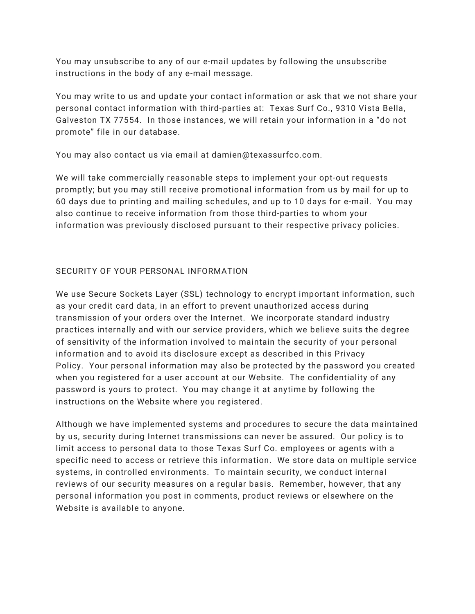You may unsubscribe to any of our e-mail updates by following the unsubscribe instructions in the body of any e-mail message.

You may write to us and update your contact information or ask that we not share your personal contact information with third-parties at: Texas Surf Co., 9310 Vista Bella, Galveston TX 77554. In those instances, we will retain your information in a "do not promote" file in our database.

You may also contact us via email at damien@texassurfco.com.

We will take commercially reasonable steps to implement your opt-out requests promptly; but you may still receive promotional information from us by mail for up to 60 days due to printing and mailing schedules, and up to 10 days for e-mail. You may also continue to receive information from those third-parties to whom your information was previously disclosed pursuant to their respective privacy policies.

# SECURITY OF YOUR PERSONAL INFORMATION

We use Secure Sockets Layer (SSL) technology to encrypt important information, such as your credit card data, in an effort to prevent unauthorized access during transmission of your orders over the Internet. We incorporate standard industry practices internally and with our service providers, which we believe suits the degree of sensitivity of the information involved to maintain the security of your personal information and to avoid its disclosure except as described in this Privacy Policy. Your personal information may also be protected by the password you created when you registered for a user account at our Website. The confidentiality of any password is yours to protect. You may change it at anytime by following the instructions on the Website where you registered.

Although we have implemented systems and procedures to secure the data maintained by us, security during Internet transmissions can never be assured. Our policy is to limit access to personal data to those Texas Surf Co. employees or agents with a specific need to access or retrieve this information. We store data on multiple service systems, in controlled environments. To maintain security, we conduct internal reviews of our security measures on a regular basis. Remember, however, that any personal information you post in comments, product reviews or elsewhere on the Website is available to anyone.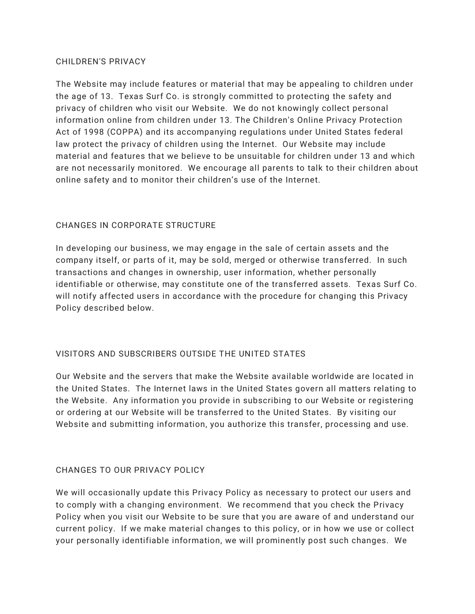#### CHILDREN'S PRIVACY

The Website may include features or material that may be appealing to children under the age of 13. Texas Surf Co. is strongly committed to protecting the safety and privacy of children who visit our Website. We do not knowingly collect personal information online from children under 13. The Children's Online Privacy Protection Act of 1998 (COPPA) and its accompanying regulations under United States federal law protect the privacy of children using the Internet. Our Website may include material and features that we believe to be unsuitable for children under 13 and which are not necessarily monitored. We encourage all parents to talk to their children about online safety and to monitor their children's use of the Internet.

# CHANGES IN CORPORATE STRUCTURE

In developing our business, we may engage in the sale of certain assets and the company itself, or parts of it, may be sold, merged or otherwise transferred. In such transactions and changes in ownership, user information, whether personally identifiable or otherwise, may constitute one of the transferred assets. Texas Surf Co. will notify affected users in accordance with the procedure for changing this Privacy Policy described below.

# VISITORS AND SUBSCRIBERS OUTSIDE THE UNITED STATES

Our Website and the servers that make the Website available worldwide are located in the United States. The Internet laws in the United States govern all matters relating to the Website. Any information you provide in subscribing to our Website or registering or ordering at our Website will be transferred to the United States. By visiting our Website and submitting information, you authorize this transfer, processing and use.

# CHANGES TO OUR PRIVACY POLICY

We will occasionally update this Privacy Policy as necessary to protect our users and to comply with a changing environment. We recommend that you check the Privacy Policy when you visit our Website to be sure that you are aware of and understand our current policy. If we make material changes to this policy, or in how we use or collect your personally identifiable information, we will prominently post such changes. We